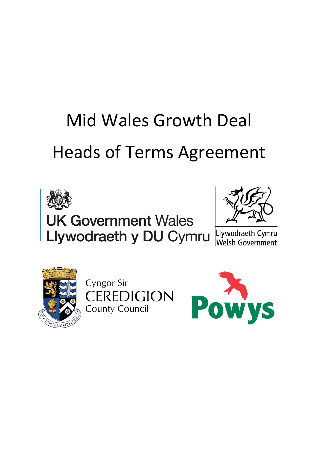# Mid Wales Growth Deal Heads of Terms Agreement





Llywodraeth Cymru Welsh Government



Cyngor Sir **CEREDIGION County Council** 

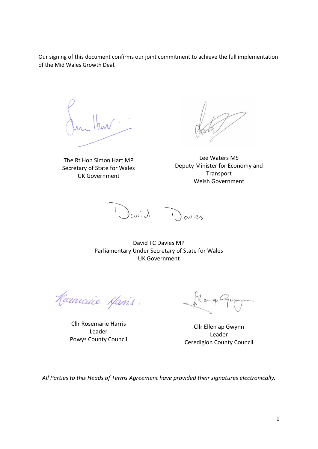Our signing of this document confirms our joint commitment to achieve the full implementation of the Mid Wales Growth Deal.

The Rt Hon Simon Hart MP Secretary of State for Wales UK Government

Lee Waters MS Deputy Minister for Economy and **Transport** Welsh Government

1 Janich Davies

David TC Davies MP Parliamentary Under Secretary of State for Wales UK Government

Rocencuie Manis.

Cllr Rosemarie Harris Leader Powys County Council

Cllr Ellen ap Gwynn Leader Ceredigion County Council

*All Parties to this Heads of Terms Agreement have provided their signatures electronically.*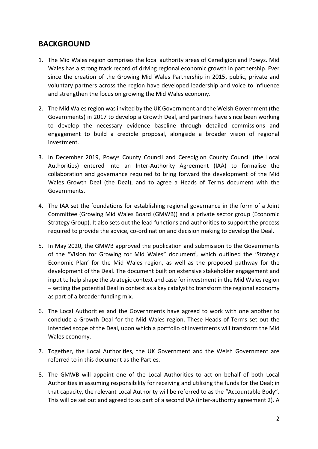## **BACKGROUND**

- 1. The Mid Wales region comprises the local authority areas of Ceredigion and Powys. Mid Wales has a strong track record of driving regional economic growth in partnership. Ever since the creation of the Growing Mid Wales Partnership in 2015, public, private and voluntary partners across the region have developed leadership and voice to influence and strengthen the focus on growing the Mid Wales economy.
- 2. The Mid Wales region was invited by the UK Government and the Welsh Government (the Governments) in 2017 to develop a Growth Deal, and partners have since been working to develop the necessary evidence baseline through detailed commissions and engagement to build a credible proposal, alongside a broader vision of regional investment.
- 3. In December 2019, Powys County Council and Ceredigion County Council (the Local Authorities) entered into an Inter-Authority Agreement (IAA) to formalise the collaboration and governance required to bring forward the development of the Mid Wales Growth Deal (the Deal), and to agree a Heads of Terms document with the Governments.
- 4. The IAA set the foundations for establishing regional governance in the form of a Joint Committee (Growing Mid Wales Board (GMWB)) and a private sector group (Economic Strategy Group). It also sets out the lead functions and authorities to support the process required to provide the advice, co-ordination and decision making to develop the Deal.
- <span id="page-2-0"></span>5. In May 2020, the GMWB approved the publication and submission to the Governments of the "Vision for Growing for Mid Wales" document<sup>i</sup>, which outlined the 'Strategic Economic Plan' for the Mid Wales region, as well as the proposed pathway for the development of the Deal. The document built on extensive stakeholder engagement and input to help shape the strategic context and case for investment in the Mid Wales region – setting the potential Deal in context as a key catalyst to transform the regional economy as part of a broader funding mix.
- 6. The Local Authorities and the Governments have agreed to work with one another to conclude a Growth Deal for the Mid Wales region. These Heads of Terms set out the intended scope of the Deal, upon which a portfolio of investments will transform the Mid Wales economy.
- 7. Together, the Local Authorities, the UK Government and the Welsh Government are referred to in this document as the Parties.
- 8. The GMWB will appoint one of the Local Authorities to act on behalf of both Local Authorities in assuming responsibility for receiving and utilising the funds for the Deal; in that capacity, the relevant Local Authority will be referred to as the "Accountable Body". This will be set out and agreed to as part of a second IAA (inter-authority agreement 2). A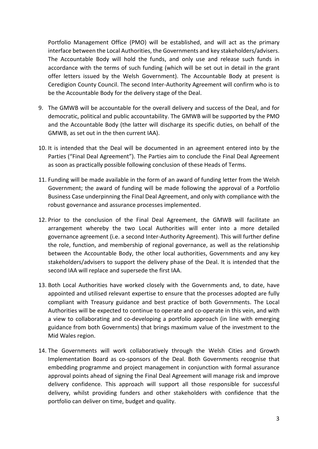Portfolio Management Office (PMO) will be established, and will act as the primary interface between the Local Authorities, the Governments and key stakeholders/advisers. The Accountable Body will hold the funds, and only use and release such funds in accordance with the terms of such funding (which will be set out in detail in the grant offer letters issued by the Welsh Government). The Accountable Body at present is Ceredigion County Council. The second Inter-Authority Agreement will confirm who is to be the Accountable Body for the delivery stage of the Deal.

- 9. The GMWB will be accountable for the overall delivery and success of the Deal, and for democratic, political and public accountability. The GMWB will be supported by the PMO and the Accountable Body (the latter will discharge its specific duties, on behalf of the GMWB, as set out in the then current IAA).
- 10. It is intended that the Deal will be documented in an agreement entered into by the Parties ("Final Deal Agreement"). The Parties aim to conclude the Final Deal Agreement as soon as practically possible following conclusion of these Heads of Terms.
- 11. Funding will be made available in the form of an award of funding letter from the Welsh Government; the award of funding will be made following the approval of a Portfolio Business Case underpinning the Final Deal Agreement, and only with compliance with the robust governance and assurance processes implemented.
- 12. Prior to the conclusion of the Final Deal Agreement, the GMWB will facilitate an arrangement whereby the two Local Authorities will enter into a more detailed governance agreement (i.e. a second Inter-Authority Agreement). This will further define the role, function, and membership of regional governance, as well as the relationship between the Accountable Body, the other local authorities, Governments and any key stakeholders/advisers to support the delivery phase of the Deal. It is intended that the second IAA will replace and supersede the first IAA.
- 13. Both Local Authorities have worked closely with the Governments and, to date, have appointed and utilised relevant expertise to ensure that the processes adopted are fully compliant with Treasury guidance and best practice of both Governments. The Local Authorities will be expected to continue to operate and co-operate in this vein, and with a view to collaborating and co-developing a portfolio approach (in line with emerging guidance from both Governments) that brings maximum value of the investment to the Mid Wales region.
- 14. The Governments will work collaboratively through the Welsh Cities and Growth Implementation Board as co-sponsors of the Deal. Both Governments recognise that embedding programme and project management in conjunction with formal assurance approval points ahead of signing the Final Deal Agreement will manage risk and improve delivery confidence. This approach will support all those responsible for successful delivery, whilst providing funders and other stakeholders with confidence that the portfolio can deliver on time, budget and quality.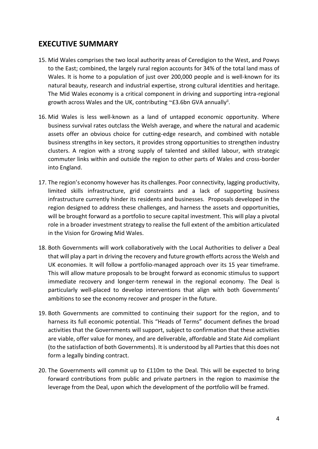# **EXECUTIVE SUMMARY**

- 15. Mid Wales comprises the two local authority areas of Ceredigion to the West, and Powys to the East; combined, the largely rural region accounts for 34% of the total land mass of Wales. It is home to a population of just over 200,000 people and is well-known for its natural beauty, research and industrial expertise, strong cultural identities and heritage. The Mid Wales economy is a critical component in driving and supporting intra-regional growth across Wales and the UK, contributing ~£3.6bn GVA annually<sup>ii</sup>.
- 16. Mid Wales is less well-known as a land of untapped economic opportunity. Where business survival rates outclass the Welsh average, and where the natural and academic assets offer an obvious choice for cutting-edge research, and combined with notable business strengths in key sectors, it provides strong opportunities to strengthen industry clusters. A region with a strong supply of talented and skilled labour, with strategic commuter links within and outside the region to other parts of Wales and cross-border into England.
- 17. The region's economy however has its challenges. Poor connectivity, lagging productivity, limited skills infrastructure, grid constraints and a lack of supporting business infrastructure currently hinder its residents and businesses. Proposals developed in the region designed to address these challenges, and harness the assets and opportunities, will be brought forward as a portfolio to secure capital investment. This will play a pivotal role in a broader investment strategy to realise the full extent of the ambition articulated in the Vision for Growing Mid Wales.
- 18. Both Governments will work collaboratively with the Local Authorities to deliver a Deal that will play a part in driving the recovery and future growth efforts across the Welsh and UK economies. It will follow a portfolio-managed approach over its 15 year timeframe. This will allow mature proposals to be brought forward as economic stimulus to support immediate recovery and longer-term renewal in the regional economy. The Deal is particularly well-placed to develop interventions that align with both Governments' ambitions to see the economy recover and prosper in the future.
- 19. Both Governments are committed to continuing their support for the region, and to harness its full economic potential. This "Heads of Terms" document defines the broad activities that the Governments will support, subject to confirmation that these activities are viable, offer value for money, and are deliverable, affordable and State Aid compliant (to the satisfaction of both Governments). It is understood by all Parties that this does not form a legally binding contract.
- 20. The Governments will commit up to £110m to the Deal. This will be expected to bring forward contributions from public and private partners in the region to maximise the leverage from the Deal, upon which the development of the portfolio will be framed.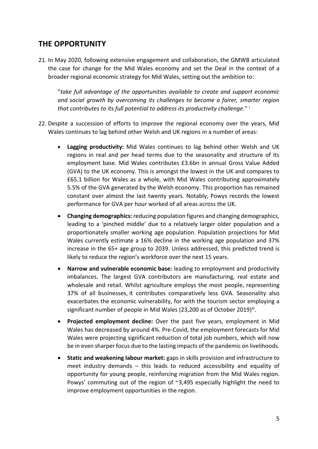# **THE OPPORTUNITY**

21. In May 2020, following extensive engagement and collaboration, the GMWB articulated the case for change for the Mid Wales economy and set the Deal in the context of a broader regional economic strategy for Mid Wales, setting out the ambition to:

"*take full advantage of the opportunities available to create and support economic and social growth by overcoming its challenges to become a fairer, smarter region that contributes to its full potential to address its productivity challenge.*" [i](#page-2-0)

- 22. Despite a succession of efforts to improve the regional economy over the years, Mid Wales continues to lag behind other Welsh and UK regions in a number of areas:
	- **Lagging productivity:** Mid Wales continues to lag behind other Welsh and UK regions in real and per head terms due to the seasonality and structure of its employment base. Mid Wales contributes £3.6bn in annual Gross Value Added (GVA) to the UK economy. This is amongst the lowest in the UK and compares to £65.1 billion for Wales as a whole, with Mid Wales contributing approximately 5.5% of the GVA generated by the Welsh economy. This proportion has remained constant over almost the last twenty years. Notably, Powys records the lowest performance for GVA per hour worked of all areas across the UK.
	- **Changing demographics:** reducing population figures and changing demographics, leading to a 'pinched middle' due to a relatively larger older population and a proportionately smaller working age population. Population projections for Mid Wales currently estimate a 16% decline in the working age population and 37% increase in the 65+ age group to 2039. Unless addressed, this predicted trend is likely to reduce the region's workforce over the next 15 years.
	- **Narrow and vulnerable economic base:** leading to employment and productivity imbalances. The largest GVA contributors are manufacturing, real estate and wholesale and retail. Whilst agriculture employs the most people, representing 37% of all businesses, it contributes comparatively less GVA. Seasonality also exacerbates the economic vulnerability, for with the tourism sector employing a significant number of people in Mid Wales (23,200 as of October 2019)iii.
	- **Projected employment decline:** Over the past five years, employment in Mid Wales has decreased by around 4%. Pre-Covid, the employment forecasts for Mid Wales were projecting significant reduction of total job numbers, which will now be in even sharper focus due to the lasting impacts of the pandemic on livelihoods.
	- **Static and weakening labour market:** gaps in skills provision and infrastructure to meet industry demands – this leads to reduced accessibility and equality of opportunity for young people, reinforcing migration from the Mid Wales region. Powys' commuting out of the region of ~3,495 especially highlight the need to improve employment opportunities in the region.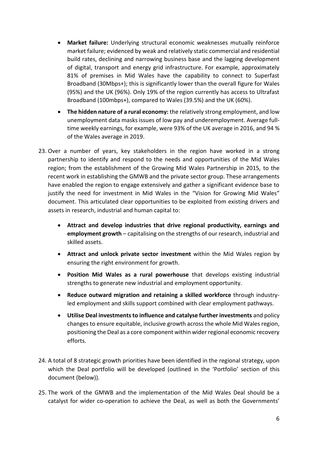- **Market failure:** Underlying structural economic weaknesses mutually reinforce market failure; evidenced by weak and relatively static commercial and residential build rates, declining and narrowing business base and the lagging development of digital, transport and energy grid infrastructure. For example, approximately 81% of premises in Mid Wales have the capability to connect to Superfast Broadband (30Mbps+); this is significantly lower than the overall figure for Wales (95%) and the UK (96%). Only 19% of the region currently has access to Ultrafast Broadband (100mbps+), compared to Wales (39.5%) and the UK (60%).
- **The hidden nature of a rural economy:** the relatively strong employment, and low unemployment data masks issues of low pay and underemployment. Average fulltime weekly earnings, for example, were 93% of the UK average in 2016, and 94 % of the Wales average in 2019.
- 23. Over a number of years, key stakeholders in the region have worked in a strong partnership to identify and respond to the needs and opportunities of the Mid Wales region; from the establishment of the Growing Mid Wales Partnership in 2015, to the recent work in establishing the GMWB and the private sector group. These arrangements have enabled the region to engage extensively and gather a significant evidence base to justify the need for investment in Mid Wales in the "Vision for Growing Mid Wales" document. This articulated clear opportunities to be exploited from existing drivers and assets in research, industrial and human capital to:
	- **Attract and develop industries that drive regional productivity, earnings and employment growth** – capitalising on the strengths of our research, industrial and skilled assets.
	- **Attract and unlock private sector investment** within the Mid Wales region by ensuring the right environment for growth.
	- **Position Mid Wales as a rural powerhouse** that develops existing industrial strengths to generate new industrial and employment opportunity.
	- **Reduce outward migration and retaining a skilled workforce** through industryled employment and skills support combined with clear employment pathways.
	- **Utilise Deal investments to influence and catalyse further investments** and policy changes to ensure equitable, inclusive growth across the whole Mid Wales region, positioning the Deal as a core component within wider regional economic recovery efforts.
- 24. A total of 8 strategic growth priorities have been identified in the regional strategy, upon which the Deal portfolio will be developed (outlined in the 'Portfolio' section of this document (below)).
- 25. The work of the GMWB and the implementation of the Mid Wales Deal should be a catalyst for wider co-operation to achieve the Deal, as well as both the Governments'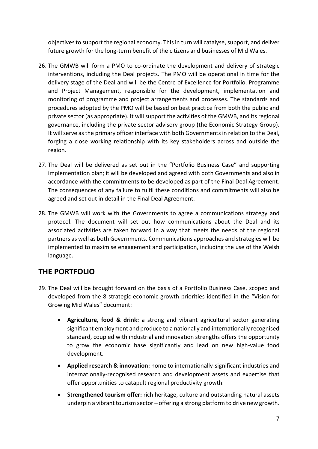objectives to support the regional economy. This in turn will catalyse, support, and deliver future growth for the long-term benefit of the citizens and businesses of Mid Wales.

- 26. The GMWB will form a PMO to co-ordinate the development and delivery of strategic interventions, including the Deal projects. The PMO will be operational in time for the delivery stage of the Deal and will be the Centre of Excellence for Portfolio, Programme and Project Management, responsible for the development, implementation and monitoring of programme and project arrangements and processes. The standards and procedures adopted by the PMO will be based on best practice from both the public and private sector (as appropriate). It will support the activities of the GMWB, and its regional governance, including the private sector advisory group (the Economic Strategy Group). It will serve as the primary officer interface with both Governments in relation to the Deal, forging a close working relationship with its key stakeholders across and outside the region.
- 27. The Deal will be delivered as set out in the "Portfolio Business Case" and supporting implementation plan; it will be developed and agreed with both Governments and also in accordance with the commitments to be developed as part of the Final Deal Agreement. The consequences of any failure to fulfil these conditions and commitments will also be agreed and set out in detail in the Final Deal Agreement.
- 28. The GMWB will work with the Governments to agree a communications strategy and protocol. The document will set out how communications about the Deal and its associated activities are taken forward in a way that meets the needs of the regional partners as well as both Governments. Communications approaches and strategies will be implemented to maximise engagement and participation, including the use of the Welsh language.

# **THE PORTFOLIO**

- 29. The Deal will be brought forward on the basis of a Portfolio Business Case, scoped and developed from the 8 strategic economic growth priorities identified in the "Vision for Growing Mid Wales" document:
	- **Agriculture, food & drink:** a strong and vibrant agricultural sector generating significant employment and produce to a nationally and internationally recognised standard, coupled with industrial and innovation strengths offers the opportunity to grow the economic base significantly and lead on new high-value food development.
	- **Applied research & innovation:** home to internationally-significant industries and internationally-recognised research and development assets and expertise that offer opportunities to catapult regional productivity growth.
	- **Strengthened tourism offer:** rich heritage, culture and outstanding natural assets underpin a vibrant tourism sector – offering a strong platform to drive new growth.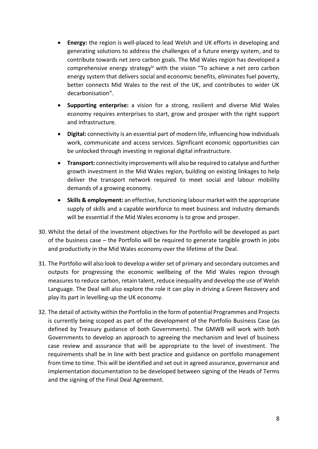- **Energy:** the region is well-placed to lead Welsh and UK efforts in developing and generating solutions to address the challenges of a future energy system, and to contribute towards net zero carbon goals. The Mid Wales region has developed a comprehensive energy strategy<sup>iv</sup> with the vision "To achieve a net zero carbon energy system that delivers social and economic benefits, eliminates fuel poverty, better connects Mid Wales to the rest of the UK, and contributes to wider UK decarbonisation".
- **Supporting enterprise:** a vision for a strong, resilient and diverse Mid Wales economy requires enterprises to start, grow and prosper with the right support and infrastructure.
- **Digital:** connectivity is an essential part of modern life, influencing how individuals work, communicate and access services. Significant economic opportunities can be unlocked through investing in regional digital infrastructure.
- **Transport:** connectivity improvements will also be required to catalyse and further growth investment in the Mid Wales region, building on existing linkages to help deliver the transport network required to meet social and labour mobility demands of a growing economy.
- **Skills & employment:** an effective, functioning labour market with the appropriate supply of skills and a capable workforce to meet business and industry demands will be essential if the Mid Wales economy is to grow and prosper.
- 30. Whilst the detail of the investment objectives for the Portfolio will be developed as part of the business case – the Portfolio will be required to generate tangible growth in jobs and productivity in the Mid Wales economy over the lifetime of the Deal.
- 31. The Portfolio will also look to develop a wider set of primary and secondary outcomes and outputs for progressing the economic wellbeing of the Mid Wales region through measures to reduce carbon, retain talent, reduce inequality and develop the use of Welsh Language. The Deal will also explore the role it can play in driving a Green Recovery and play its part in levelling-up the UK economy.
- 32. The detail of activity within the Portfolio in the form of potential Programmes and Projects is currently being scoped as part of the development of the Portfolio Business Case (as defined by Treasury guidance of both Governments). The GMWB will work with both Governments to develop an approach to agreeing the mechanism and level of business case review and assurance that will be appropriate to the level of investment. The requirements shall be in line with best practice and guidance on portfolio management from time to time. This will be identified and set out in agreed assurance, governance and implementation documentation to be developed between signing of the Heads of Terms and the signing of the Final Deal Agreement.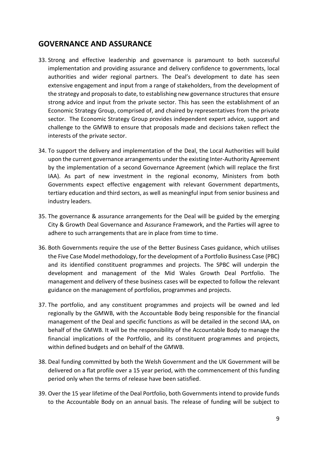## **GOVERNANCE AND ASSURANCE**

- 33. Strong and effective leadership and governance is paramount to both successful implementation and providing assurance and delivery confidence to governments, local authorities and wider regional partners. The Deal's development to date has seen extensive engagement and input from a range of stakeholders, from the development of the strategy and proposals to date, to establishing new governance structures that ensure strong advice and input from the private sector. This has seen the establishment of an Economic Strategy Group, comprised of, and chaired by representatives from the private sector. The Economic Strategy Group provides independent expert advice, support and challenge to the GMWB to ensure that proposals made and decisions taken reflect the interests of the private sector.
- 34. To support the delivery and implementation of the Deal, the Local Authorities will build upon the current governance arrangements under the existing Inter-Authority Agreement by the implementation of a second Governance Agreement (which will replace the first IAA). As part of new investment in the regional economy, Ministers from both Governments expect effective engagement with relevant Government departments, tertiary education and third sectors, as well as meaningful input from senior business and industry leaders.
- 35. The governance & assurance arrangements for the Deal will be guided by the emerging City & Growth Deal Governance and Assurance Framework, and the Parties will agree to adhere to such arrangements that are in place from time to time.
- 36. Both Governments require the use of the Better Business Cases guidance, which utilises the Five Case Model methodology, for the development of a Portfolio Business Case (PBC) and its identified constituent programmes and projects. The SPBC will underpin the development and management of the Mid Wales Growth Deal Portfolio. The management and delivery of these business cases will be expected to follow the relevant guidance on the management of portfolios, programmes and projects.
- 37. The portfolio, and any constituent programmes and projects will be owned and led regionally by the GMWB, with the Accountable Body being responsible for the financial management of the Deal and specific functions as will be detailed in the second IAA, on behalf of the GMWB. It will be the responsibility of the Accountable Body to manage the financial implications of the Portfolio, and its constituent programmes and projects, within defined budgets and on behalf of the GMWB.
- 38. Deal funding committed by both the Welsh Government and the UK Government will be delivered on a flat profile over a 15 year period, with the commencement of this funding period only when the terms of release have been satisfied.
- 39. Over the 15 year lifetime of the Deal Portfolio, both Governments intend to provide funds to the Accountable Body on an annual basis. The release of funding will be subject to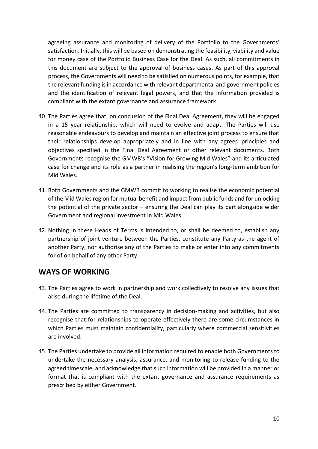agreeing assurance and monitoring of delivery of the Portfolio to the Governments' satisfaction. Initially, this will be based on demonstrating the feasibility, viability and value for money case of the Portfolio Business Case for the Deal. As such, all commitments in this document are subject to the approval of business cases. As part of this approval process, the Governments will need to be satisfied on numerous points, for example, that the relevant funding is in accordance with relevant departmental and government policies and the identification of relevant legal powers, and that the information provided is compliant with the extant governance and assurance framework.

- 40. The Parties agree that, on conclusion of the Final Deal Agreement, they will be engaged in a 15 year relationship, which will need to evolve and adapt. The Parties will use reasonable endeavours to develop and maintain an effective joint process to ensure that their relationships develop appropriately and in line with any agreed principles and objectives specified in the Final Deal Agreement or other relevant documents. Both Governments recognise the GMWB's "Vision for Growing Mid Wales" and its articulated case for change and its role as a partner in realising the region's long-term ambition for Mid Wales.
- 41. Both Governments and the GMWB commit to working to realise the economic potential of the Mid Wales region for mutual benefit and impact from public funds and for unlocking the potential of the private sector – ensuring the Deal can play its part alongside wider Government and regional investment in Mid Wales.
- 42. Nothing in these Heads of Terms is intended to, or shall be deemed to, establish any partnership of joint venture between the Parties, constitute any Party as the agent of another Party, nor authorise any of the Parties to make or enter into any commitments for of on behalf of any other Party.

## **WAYS OF WORKING**

- 43. The Parties agree to work in partnership and work collectively to resolve any issues that arise during the lifetime of the Deal.
- 44. The Parties are committed to transparency in decision-making and activities, but also recognise that for relationships to operate effectively there are some circumstances in which Parties must maintain confidentiality, particularly where commercial sensitivities are involved.
- 45. The Parties undertake to provide all information required to enable both Governments to undertake the necessary analysis, assurance, and monitoring to release funding to the agreed timescale, and acknowledge that such information will be provided in a manner or format that is compliant with the extant governance and assurance requirements as prescribed by either Government.